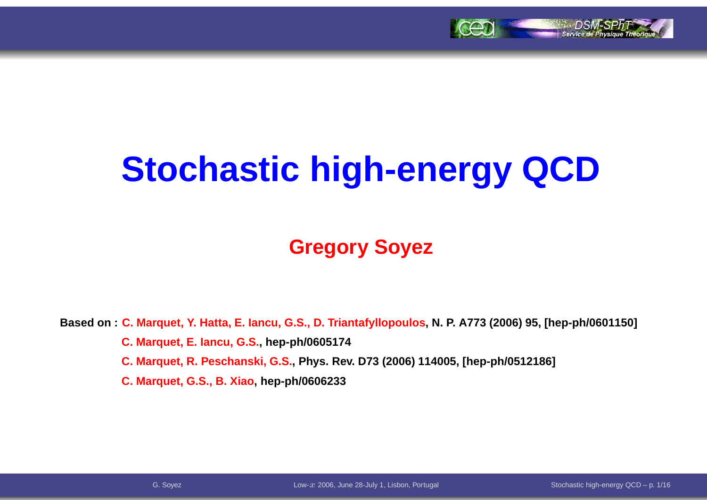

# **Stochastic high-energy QCD**

### **Gregory Soyez**

Based on:<mark>C. Marquet, Y. Hatta, E. Iancu, G.S., D. Triantafyllopoulos, N. P. A773 (2006)</mark> 95, [hep-ph/0601150] **C. Marquet, E. Iancu, G.S., hep-ph/0605174**C. Marquet, R. Peschanski, G.S., Phys. Rev. D73 (2006) 114005, [hep-ph/0512186] **C. Marquet, G.S., B. Xiao, hep-ph/0606233**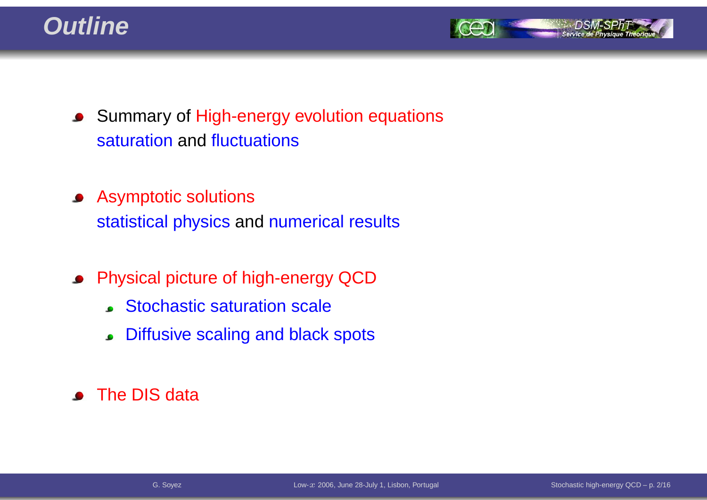



- **Summary of High-energy evolution equations** saturation and fluctuations
- Asymptotic solutionsstatistical physics and numerical results
- Physical picture of high-energy QCD
	- Stochastic saturation scale
	- Diffusive scaling and black spots
- The DIS data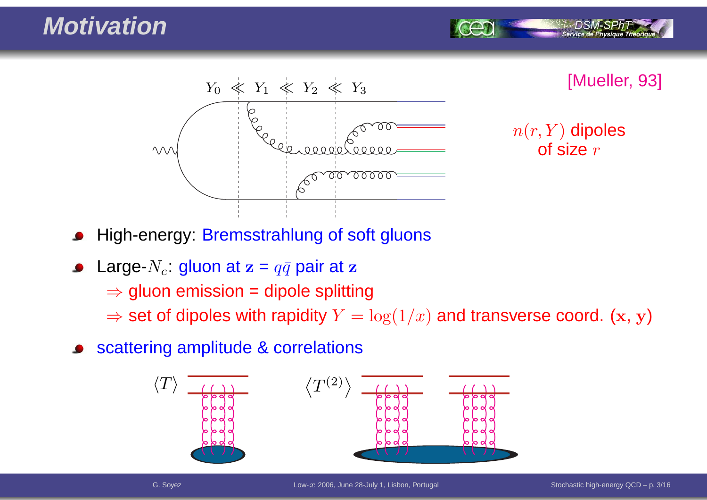

 $n(r,Y)$  dipoles of size  $r$ 

- High-energy: Bremsstrahlung of soft gluons
- Large- $N_c$ : gluon at  $\mathbf{z}=q\bar{q}$  pair at  $\mathbf{z}$ 
	- $\Rightarrow$  gluon emission = dipole splitting<br> $\Rightarrow$  act of dipoles with repiditu $N = 1$
	- $\Rightarrow$  set of dipoles with rapidity  $Y = \log(1/x)$  and transverse coord.  $(\mathbf{x}, \, \mathbf{y})$
- scattering amplitude & correlations

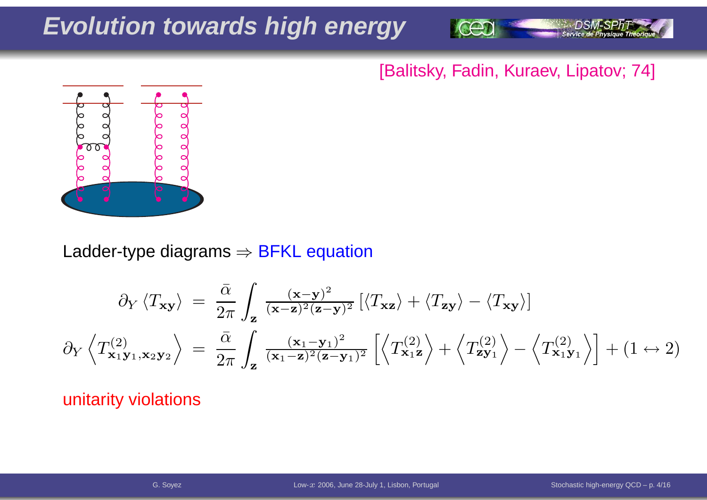### **Evolution towards high energy**



#### [Balitsky, Fadin, Kuraev, Lipatov; 74]



Ladder-type diagrams  $\Rightarrow$  BFKL equation

$$
\partial_{Y} \left\langle T_{\mathbf{x}\mathbf{y}} \right\rangle = \frac{\bar{\alpha}}{2\pi} \int_{\mathbf{z}} \frac{(\mathbf{x} - \mathbf{y})^{2}}{(\mathbf{x} - \mathbf{z})^{2} (\mathbf{z} - \mathbf{y})^{2}} \left[ \left\langle T_{\mathbf{x}\mathbf{z}} \right\rangle + \left\langle T_{\mathbf{z}\mathbf{y}} \right\rangle - \left\langle T_{\mathbf{x}\mathbf{y}} \right\rangle \right]
$$

$$
\partial_{Y} \left\langle T_{\mathbf{x}_{1}\mathbf{y}_{1}, \mathbf{x}_{2}\mathbf{y}_{2}}^{(2)} \right\rangle = \frac{\bar{\alpha}}{2\pi} \int_{\mathbf{z}} \frac{(\mathbf{x}_{1} - \mathbf{y}_{1})^{2}}{(\mathbf{x}_{1} - \mathbf{z})^{2} (\mathbf{z} - \mathbf{y}_{1})^{2}} \left[ \left\langle T_{\mathbf{x}_{1}\mathbf{z}}^{(2)} \right\rangle + \left\langle T_{\mathbf{z}\mathbf{y}_{1}}^{(2)} \right\rangle - \left\langle T_{\mathbf{x}_{1}\mathbf{y}_{1}}^{(2)} \right\rangle \right] + (1 \leftrightarrow 2)
$$

#### unitarity violations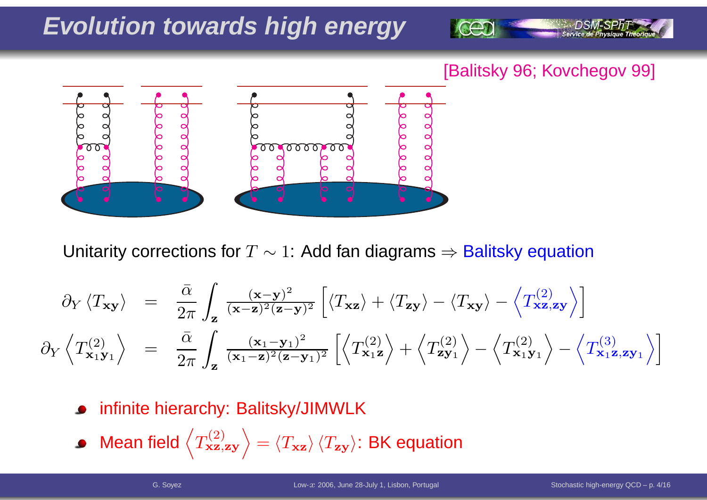### **Evolution towards high energy**



#### [Balitsky 96; Kovchegov 99]



Unitarity corrections for  $T\sim1$ : Add fan diagrams  $\Rightarrow$  Balitsky equation

$$
\partial_Y \langle T_{\mathbf{x}\mathbf{y}} \rangle = \frac{\bar{\alpha}}{2\pi} \int_{\mathbf{z}} \frac{(\mathbf{x} - \mathbf{y})^2}{(\mathbf{x} - \mathbf{z})^2 (\mathbf{z} - \mathbf{y})^2} \left[ \langle T_{\mathbf{x}\mathbf{z}} \rangle + \langle T_{\mathbf{z}\mathbf{y}} \rangle - \langle T_{\mathbf{x}\mathbf{y}} \rangle - \langle T_{\mathbf{x}\mathbf{z}, \mathbf{z}\mathbf{y}}^2 \rangle \right]
$$
  

$$
\partial_Y \langle T_{\mathbf{x}_1 \mathbf{y}_1}^{(2)} \rangle = \frac{\bar{\alpha}}{2\pi} \int_{\mathbf{z}} \frac{(\mathbf{x}_1 - \mathbf{y}_1)^2}{(\mathbf{x}_1 - \mathbf{z})^2 (\mathbf{z} - \mathbf{y}_1)^2} \left[ \langle T_{\mathbf{x}_1 \mathbf{z}}^{(2)} \rangle + \langle T_{\mathbf{x}_1 \mathbf{y}_1}^{(2)} \rangle - \langle T_{\mathbf{x}_1 \mathbf{y}_1}^{(2)} \rangle - \langle T_{\mathbf{x}_1 \mathbf{z}, \mathbf{z}\mathbf{y}_1}^{(3)} \rangle \right]
$$

- infinite hierarchy: Balitsky/JIMWLK
- Mean field  $\left\langle T_{\mathbf{x}\mathbf{z},\mathbf{z}\mathbf{y}}^{(2)}\right\rangle$  $=\left\langle T_\mathbf{zz}\right\rangle\left\langle T_\mathbf{zy}\right\rangle$ : BK equation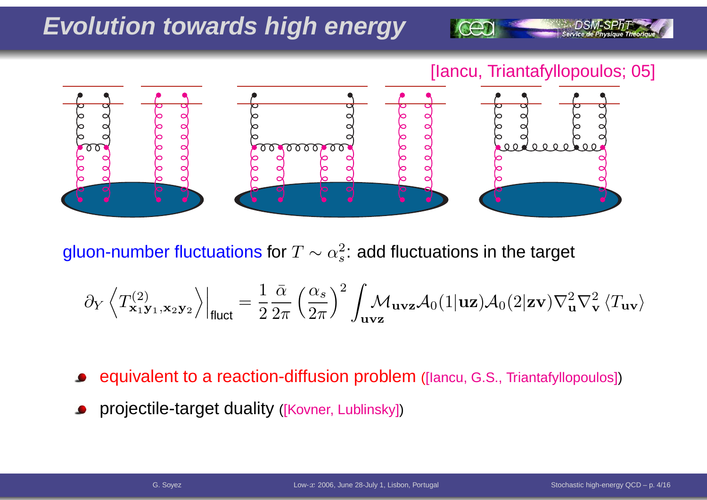### **Evolution towards high energy**

[Iancu, Triantafyllopoulos; 05]



gluon-number fluctuations for  $T\sim \alpha_s^2$  $_s^2$ : add fluctuations in the target

$$
\partial_Y \left\langle T^{(2)}_{\mathbf{x}_1 \mathbf{y}_1, \mathbf{x}_2 \mathbf{y}_2} \right\rangle\Big|_{\text{fluct}} = \frac{1}{2} \frac{\bar{\alpha}}{2\pi} \left(\frac{\alpha_s}{2\pi}\right)^2 \int_{\mathbf{u} \mathbf{v} \mathbf{z}} \mathcal{M}_{\mathbf{u} \mathbf{v} \mathbf{z}} \mathcal{A}_0 (1 | \mathbf{u} \mathbf{z}) \mathcal{A}_0 (2 | \mathbf{z} \mathbf{v}) \nabla^2_{\mathbf{u}} \nabla^2_{\mathbf{v}} \left\langle T_{\mathbf{u} \mathbf{v}} \right\rangle
$$

equivalent to <sup>a</sup> reaction-diffusion problem ([Iancu, G.S., Triantafyllopoulos])

projectile-target duality ([Kovner, Lublinsky])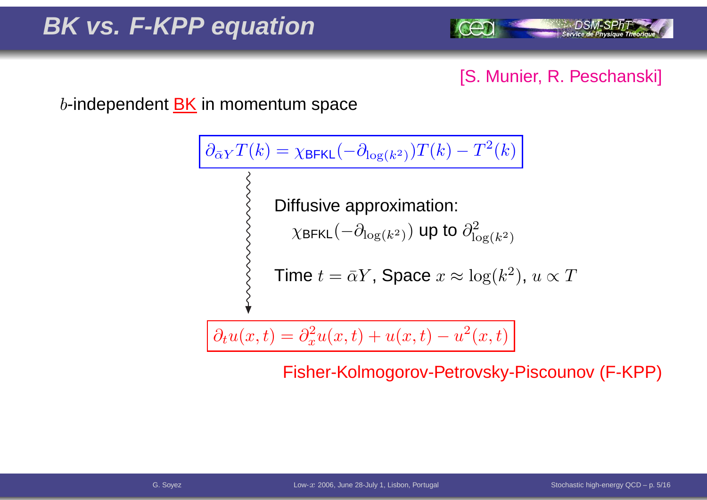

### [S. Munier, R. Peschanski]

 $b$ -independent  $\underline{\mathsf{BK}}$  in momentum space

$$
\frac{\partial_{\bar{\alpha}Y}T(k) = \chi_{\text{BFKL}}(-\partial_{\log(k^2)})T(k) - T^2(k)}{\sum_{\substack{\text{XBFKL}}} \text{Diffusive approximation:}
$$
\n
$$
\chi_{\text{BFKL}}(-\partial_{\log(k^2)}) \text{ up to } \partial_{\log(k^2)}^2
$$
\n
$$
\text{Time } t = \bar{\alpha}Y, \text{ Space } x \approx \log(k^2), u \propto T
$$

$$
\partial_t u(x,t) = \partial_x^2 u(x,t) + u(x,t) - u^2(x,t)
$$

Fisher-Kolmogorov-Petrovsky-Piscounov (F-KPP)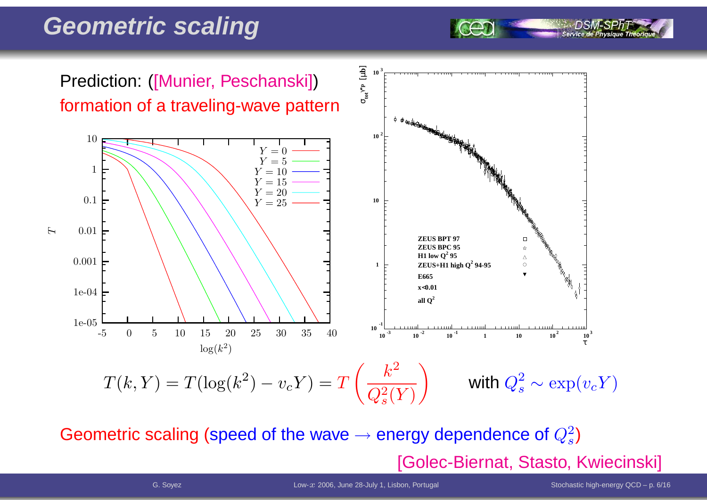### **Geometric scaling**

5 **10 3** γ**\*p** [µ **b** Prediction: ([Munier, Peschanski])σ**tot** formation of <sup>a</sup> traveling-wave pattern<sup>♦</sup> ₱<sub>₩</sup><sub>®®™</sub></sub> **10 2** 10 $Y = 0$  $Y = 5$ 1 $Y = 10$ Y $Y = 15$  $Y = 20$ 0.1**10** $Y=25$ 0.01 $\overline{H}$ **ZEUS BPT 97ZEUS BPC 95 H1** low  $Q^2$  95  $\Delta$ 0.001**ZEUS+H1 high Q<sup>2</sup> 94-95**  $\circ$ **1E665x**<**0.01**1e-04all  $O^2$ 1e-05**-110**-5 $10^{-3}$  <sup>0</sup> <sup>5</sup> <sup>10</sup> <sup>15</sup> <sup>20</sup> <sup>25</sup> <sup>30</sup> <sup>35</sup> <sup>40</sup>  $10^{-3}$  **10**  $^{-2}$  **10**  $^{-1}$  **11 10**  $10^{2}$  **10**<sup>3</sup> τ $\log(k^2)$  $T(k,Y) = T(\log(k^2)-v_cY) = T\left(\frac{k^2}{Q_s^2(Y)}\right)$ with  $Q_s^2 \sim \exp(v_c Y)$ 

Geometric scaling (speed of the wave  $\rightarrow$  $\rightarrow$  energy dependence of  $Q_s^2$ ) [Golec-Biernat, Stasto, Kwiecinski]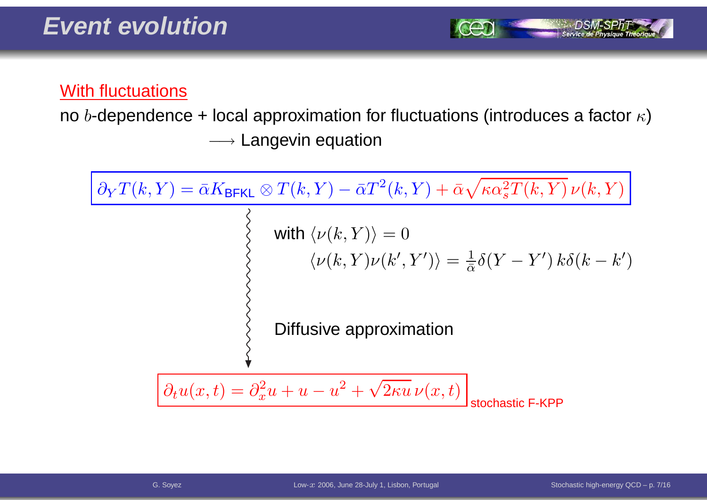

#### With fluctuations

no  $b$ -dependence + local approximation for fluctuations (introduces a factor  $\kappa$ )  $\longrightarrow$  Langevin equation

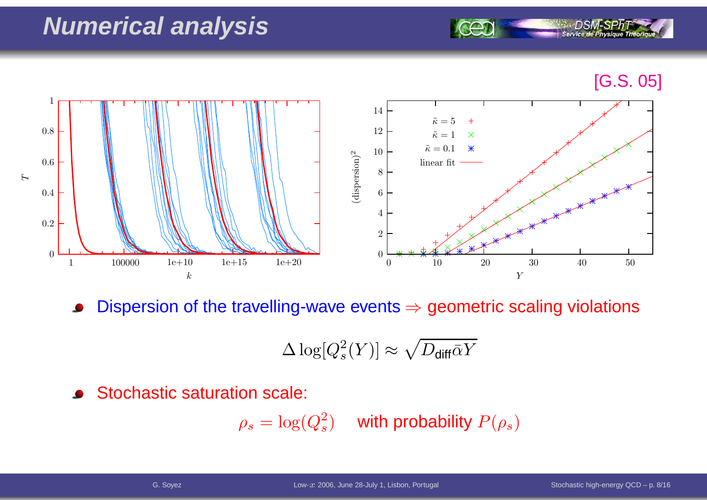### **Numerical analysis**

#### [G.S. 05]

Service de Ph



Dispersion of the travelling-wave events  $\Rightarrow$  geometric scaling violations  $\bullet$ 

$$
\Delta \log [Q_s^2(Y)] \approx \sqrt{D_{\text{diff}}\bar{\alpha}Y}
$$

Stochastic saturation scale:  $\bullet$ 

$$
\rho_s = \log(Q_s^2) \quad \text{ with probability } P(\rho_s)
$$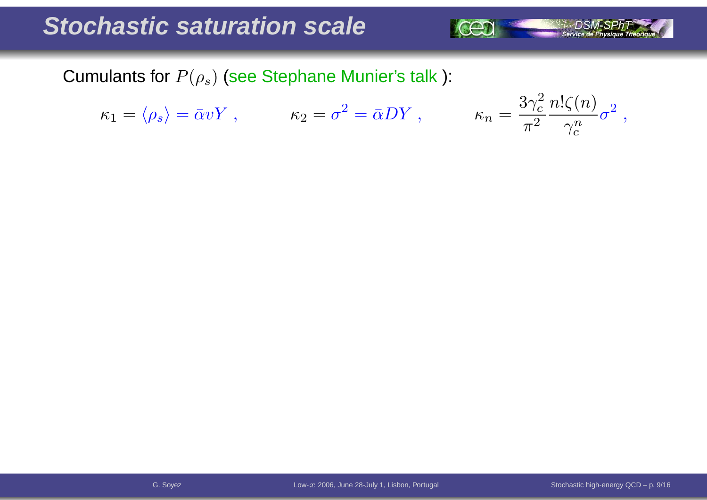### **Stochastic saturation scale**



$$
\kappa_1 = \langle \rho_s \rangle = \bar{\alpha} v Y \ , \qquad \kappa_2 = \sigma^2 = \bar{\alpha} D Y \ ,
$$

$$
\kappa_n = \frac{3\gamma_c^2}{\pi^2} \frac{n! \zeta(n)}{\gamma_c^n} \sigma^2 \;,
$$

 $\rightarrow$  DSM-SPhT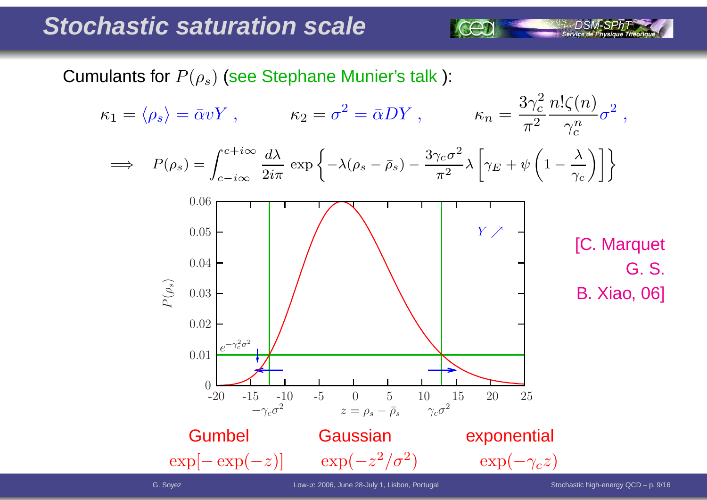### **Stochastic saturation scale**

Cumulants for  $P(\rho_s)$  (see Stephane Munier's talk ):

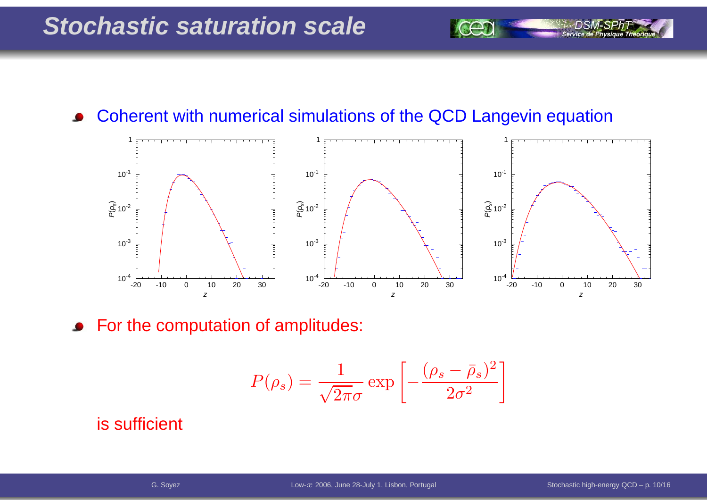Service de Pl

#### Coherent with numerical simulations of the QCD Langevin equation $\bullet$



For the computation of amplitudes:  $\bullet$ 

$$
P(\rho_s) = \frac{1}{\sqrt{2\pi}\sigma} \exp\left[-\frac{(\rho_s - \bar{\rho}_s)^2}{2\sigma^2}\right]
$$

#### is sufficient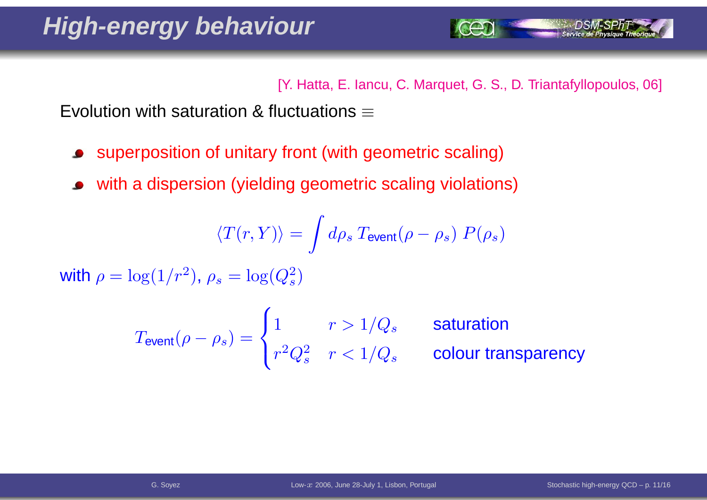[Y. Hatta, E. Iancu, C. Marquet, G. S., D. Triantafyllopoulos, 06]

Evolution with saturation & fluctuations  $\equiv$ 

- superposition of unitary front (with geometric scaling)
- with <sup>a</sup> dispersion (yielding geometric scaling violations)

$$
\langle T(r,Y) \rangle = \int d\rho_s \: T_{\rm event}(\rho-\rho_s) \; P(\rho_s)
$$

with  $\rho = \log(1/r^2)$  $^2$ ),  $\rho_s=\log(Q_s^2)$  $\left( \frac{2}{s}\right)$ 

$$
T_{\text{event}}(\rho - \rho_s) = \begin{cases} 1 & r > 1/Q_s \\ r^2 Q_s^2 & r < 1/Q_s \end{cases} \quad \text{solution} \quad \text{column} \quad \text{column} \quad \text{column} \quad \text{column} \quad \text{column} \quad \text{column} \quad \text{column} \quad \text{column} \quad \text{normal} \quad \text{column} \quad \text{normal} \quad \text{column} \quad \text{normal} \quad \text{column} \quad \text{normal} \quad \text{column} \quad \text{normal} \quad \text{normal} \quad \text{normal} \quad \text{normal} \quad \text{normal} \quad \text{normal} \quad \text{normal} \quad \text{normal} \quad \text{normal} \quad \text{normal} \quad \text{normal} \quad \text{normal} \quad \text{normal} \quad \text{normal} \quad \text{normal} \quad \text{normal} \quad \text{normal} \quad \text{normal} \quad \text{normal} \quad \text{normal} \quad \text{normal} \quad \text{normal} \quad \text{normal} \quad \text{normal} \quad \text{normal} \quad \text{normal} \quad \text{normal} \quad \text{normal} \quad \text{normal} \quad \text{normal} \quad \text{normal} \quad \text{normal} \quad \text{normal} \quad \text{normal} \quad \text{normal} \quad \text{normal} \quad \text{normal} \quad \text{normal} \quad \text{normal} \quad \text{normal} \quad \text{normal} \quad \text{normal} \quad \text{normal} \quad \text{normal} \quad \text{normal} \quad \text{normal} \quad \text{normal} \quad \text{normal} \quad \text{normal} \quad \text{normal} \quad \text{normal} \quad \text{normal} \quad \text{normal} \quad \text{normal} \quad \text{normal} \quad \text{normal} \quad \text{normal} \quad \text{normal} \quad \text{normal} \quad \text{normal} \quad \text{normal} \quad \text{normal} \quad \text{normal} \quad \text{normal} \quad \text{normal} \quad \text{normal} \quad \text{normal} \quad \text{normal} \quad \text{normal} \quad \text{normal} \quad \text{normal} \quad \text{normal} \quad \text{normal} \quad \text{normal} \quad \text{normal} \quad \text{normal} \quad \text{normal} \quad \text{normal} \quad \text{normal} \quad \text{normal} \quad \text{normal} \quad \text{normal} \quad \text{normal} \quad
$$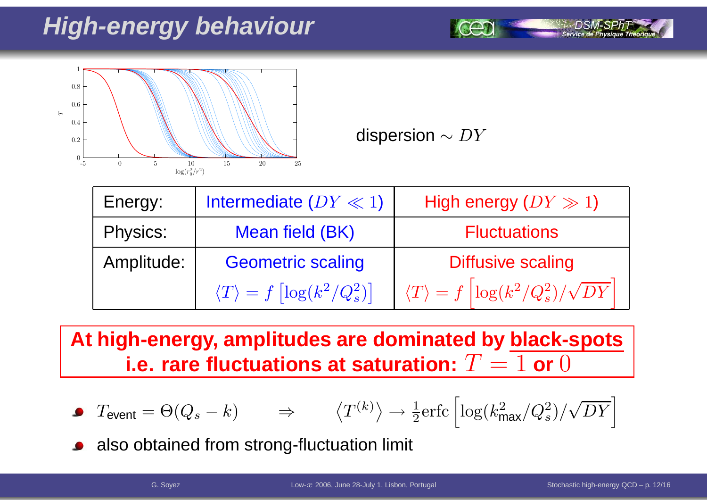## **High-energy behaviour**



dispersion  $\sim DY$ 

| Energy:    | Intermediate $(DY \ll 1)$                              | High energy $(DY \gg 1)$                                         |
|------------|--------------------------------------------------------|------------------------------------------------------------------|
| Physics:   | Mean field (BK)                                        | <b>Fluctuations</b>                                              |
| Amplitude: | <b>Geometric scaling</b>                               | <b>Diffusive scaling</b>                                         |
|            | $\langle T \rangle = f \left[ \log(k^2/Q_s^2) \right]$ | $\langle T \rangle = f \left[ \log(k^2/Q_s^2)/\sqrt{DY} \right]$ |

**At high-energy, amplitudes are dominated by black-spots i.e. rare fluctuations at saturation:**  $T = 1$  or  $0$ 

• 
$$
T_{\text{event}} = \Theta(Q_s - k)
$$
  $\Rightarrow$   $\langle T^{(k)} \rangle \rightarrow \frac{1}{2} \text{erfc} \left[ \log(k_{\text{max}}^2/Q_s^2) / \sqrt{DY} \right]$ 

also obtained from strong-fluctuation limit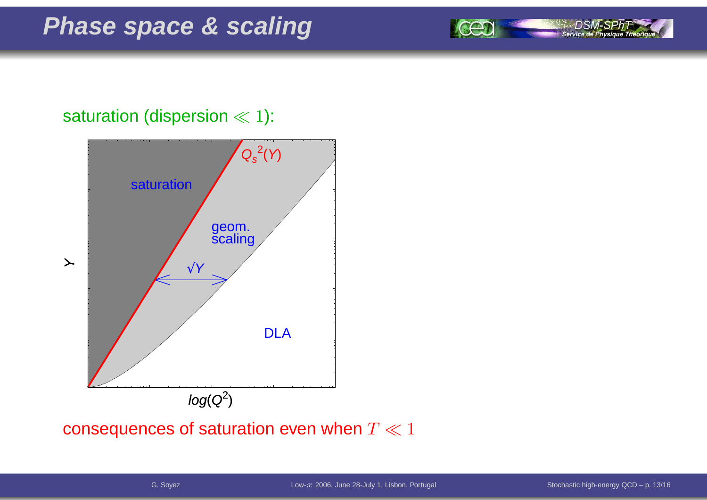



#### consequences of saturation even when  $T\ll1$

Service de Physique Théoriq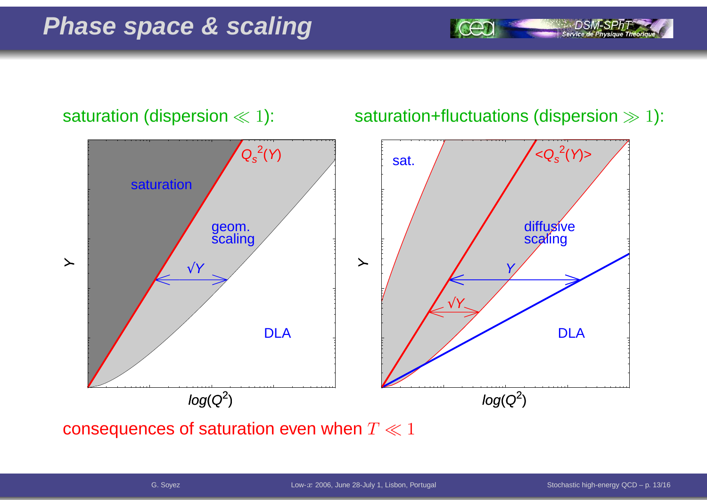

consequences of saturation even when  $T\ll1$ 

Service de Physique Théoriq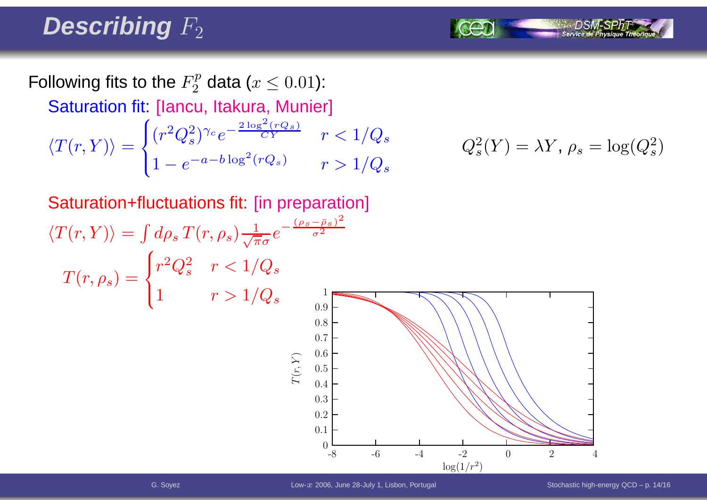## Describing  $F_2$

Following fits to the  $F_2^p$  data ( $x\leq 0.01$ ): Saturation fit: [Iancu, Itakura, Munier]  $\langle T(r, Y) \rangle =$  $\begin{cases} (r^2 Q_s^2)^{\gamma_c} e^{-\frac{2 \log^2 (rQ_s)}{CY}} & r < 1/Q_s \\ 1 - e^{-a - b \log^2 (rQ_s)} & r > 1/Q_s \end{cases} \qquad Q_s^2(Y) = \lambda Y, \, \rho_s = \log(Q_s^2)$ 

$$
Q_s^2(Y) = \lambda Y, \, \rho_s = \log(Q_s^2)
$$

Saturation+fluctuations fit: [in preparation]  $\langle T(r, Y) \rangle = \int d\rho_s \, T(r, \rho_s) \frac{1}{\sqrt{\pi}\sigma} e^{-\frac{(\rho_s - \bar{\rho}_s)^2}{\sigma^2}}$  $T(r,\rho_s)=$  $\begin{cases} r^2Q_s^2 & r < 1/Q_s \ 1 & r > 1/Q_s \end{cases}$  $\log(1/r^2)$  $\mathcal{L}% _{A}=\mathcal{L}_{A}\!\left( A;B\right) ,\qquad \mathcal{L}_{A}\!\left( A;B\right) ,\qquad \mathcal{L}_{A}\!\left( A;B\right) ,\qquad \mathcal{L}_{A}\!\left( A;B\right) ,\qquad \mathcal{L}_{A}\!\left( A;B\right) ,\qquad \mathcal{L}_{A}\!\left( A;B\right) ,\qquad \mathcal{L}_{A}\!\left( A;B\right) ,\qquad \mathcal{L}_{A}\!\left( A;B\right) ,\qquad \mathcal{L}_{A}\!\left( A;B\right) ,\qquad \mathcal{L}_{A}\!\left( A;B\right) ,\qquad$  $(r, Y)$ -88 -6 -4 -2 0 2 4 10.90.80.70.60.50.40.30.20.1 $\theta$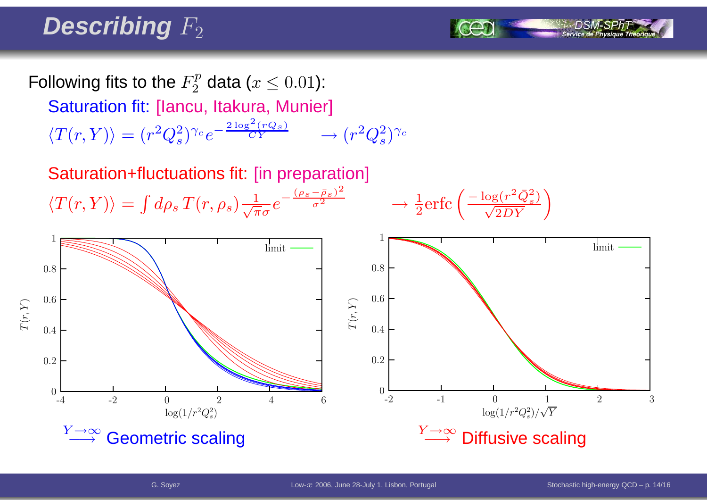## Describing  $F_2$

Following fits to the  $F_2^p$  data ( $x\leq 0.01$ ): Saturation fit: [Iancu, Itakura, Munier]

 $\langle T(r, Y) \rangle = (r^2 Q_s^2)^{\gamma_c} e^{-\frac{2 \log^2 (r Q_s)}{CY}} \longrightarrow$  $\rightarrow (r^2Q_s^2)^{\gamma_c}$ 

Saturation+fluctuations fit: [in preparation]  $\langle T(r, Y) \rangle = \int d\rho_s T(r, \rho_s) \frac{1}{\sqrt{\pi}\sigma} e^{-\frac{(\rho_s - \bar{\rho}_s)^2}{\sigma^2}} \longrightarrow$ 

$$
\rightarrow \frac{1}{2} \text{erfc}\left(\frac{-\log(r^2 \bar{Q}_s^2)}{\sqrt{2DY}}\right)
$$

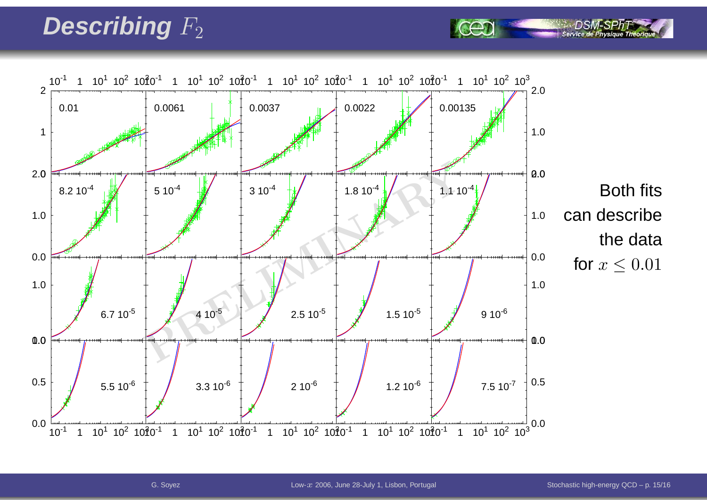## Describing  $F_2$